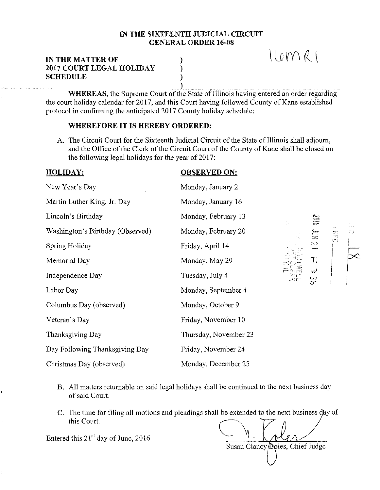### IN THE SIXTEENTH JUDICIAL CIRCUIT GENERAL ORDER 16-08

) ) )

## IN THE MATTER OF 2017 COURT LEGAL HOLIDAY **SCHEDULE**

) WHEREAS, the Supreme Court of the State of Illinois having entered an order regarding the court holiday calendar for 2017, and this Court having followed County of Kane established protocol in confirming the anticipated 2017 County holiday schedule;

# WHEREFORE IT IS HEREBY ORDERED:

A. The Circuit Court for the Sixteenth Judicial Circuit of the State of Illinois shall adjourn, and the Office of the Clerk of the Circuit Court of the County of Kane shall be closed on the following legal holidays for the year of  $2017$ :

#### HOLIDAY: New Year's Day Martin Luther King, Jr. Day Lincoln's Birthday Washington's Birthday (Observed) Spring Holiday Memorial Day OBSERVED ON: Independence Day Labor Day Monday, January 2 Monday, January 16 Monday, February 13 Monday, February Friday, April 14 Monday, May 29 Tuesday, July 4 Monday, September 4 Columbus Day (observed) Monday, October 9 Veteran's Day Thanksgiving Day Day Following Thanksgiving Day Christmas Day (observed) Friday, November 10 Thursday, November 23 Friday, November 24 Monday, December 25

c: Ni 2  $\overline{U}$ !

 $IOMRI$ 

- B. All matters returnable on said legal holidays shall be continued to the next business day of said Court. All matters returnable on said legal holidays shall be continued to the of said Court.<br>
The time for filing all motions and pleadings shall be extended to the restriction.<br>
this Court.<br>
It this 21<sup>st</sup> day of June, 2016
- C. The time for filing all motions and pleadings shall be extended to the next business day of

Entered this  $21<sup>st</sup>$  day of June, 2016

Susan Clancy *Doles*, Chief Judge